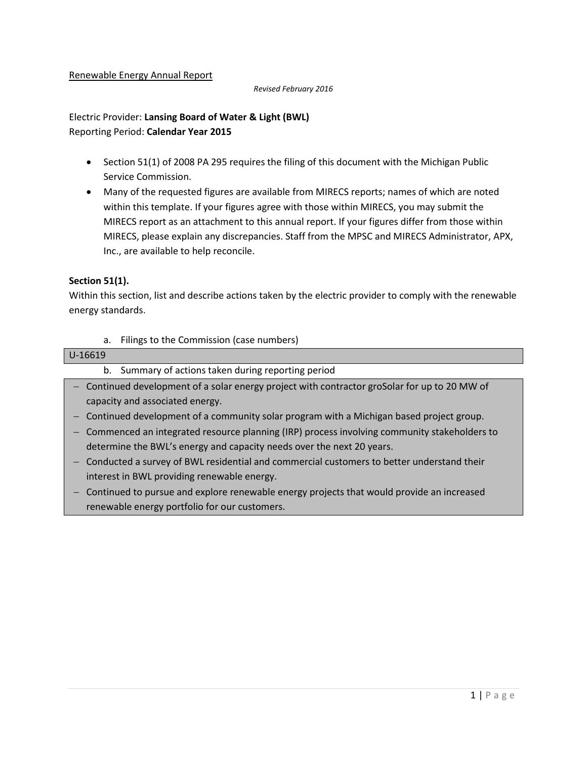#### Renewable Energy Annual Report

#### *Revised February 2016*

Electric Provider: **Lansing Board of Water & Light (BWL)** Reporting Period: **Calendar Year 2015**

- Section 51(1) of 2008 PA 295 requires the filing of this document with the Michigan Public Service Commission.
- Many of the requested figures are available from MIRECS reports; names of which are noted within this template. If your figures agree with those within MIRECS, you may submit the MIRECS report as an attachment to this annual report. If your figures differ from those within MIRECS, please explain any discrepancies. Staff from the MPSC and MIRECS Administrator, APX, Inc., are available to help reconcile.

### **Section 51(1).**

Within this section, list and describe actions taken by the electric provider to comply with the renewable energy standards.

a. Filings to the Commission (case numbers)

#### U-16619

- b. Summary of actions taken during reporting period
- Continued development of a solar energy project with contractor groSolar for up to 20 MW of capacity and associated energy.
- $-$  Continued development of a community solar program with a Michigan based project group.
- Commenced an integrated resource planning (IRP) process involving community stakeholders to determine the BWL's energy and capacity needs over the next 20 years.
- Conducted a survey of BWL residential and commercial customers to better understand their interest in BWL providing renewable energy.
- Continued to pursue and explore renewable energy projects that would provide an increased renewable energy portfolio for our customers.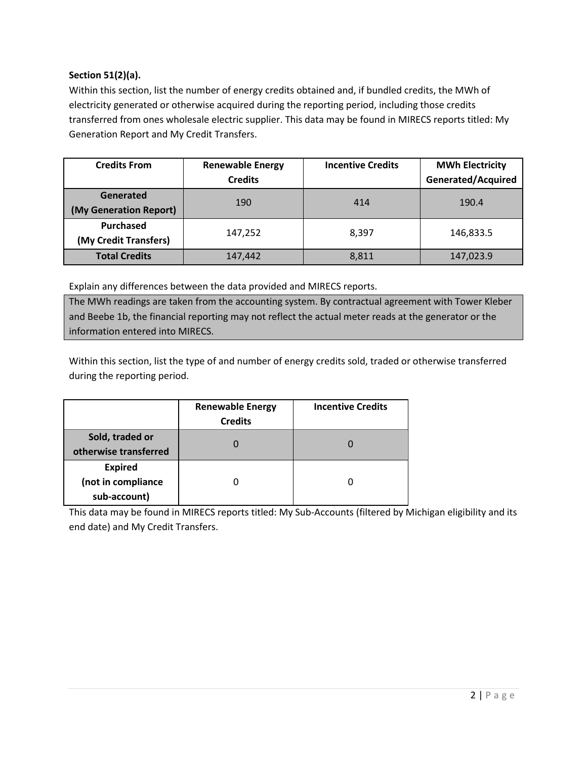### **Section 51(2)(a).**

Within this section, list the number of energy credits obtained and, if bundled credits, the MWh of electricity generated or otherwise acquired during the reporting period, including those credits transferred from ones wholesale electric supplier. This data may be found in MIRECS reports titled: My Generation Report and My Credit Transfers.

| <b>Credits From</b>                       | <b>Renewable Energy</b><br><b>Credits</b> | <b>Incentive Credits</b> | <b>MWh Electricity</b><br><b>Generated/Acquired</b> |
|-------------------------------------------|-------------------------------------------|--------------------------|-----------------------------------------------------|
| Generated<br>(My Generation Report)       | 190                                       | 414                      | 190.4                                               |
| <b>Purchased</b><br>(My Credit Transfers) | 147,252                                   | 8,397                    | 146,833.5                                           |
| <b>Total Credits</b>                      | 147,442                                   | 8,811                    | 147,023.9                                           |

Explain any differences between the data provided and MIRECS reports.

The MWh readings are taken from the accounting system. By contractual agreement with Tower Kleber and Beebe 1b, the financial reporting may not reflect the actual meter reads at the generator or the information entered into MIRECS.

Within this section, list the type of and number of energy credits sold, traded or otherwise transferred during the reporting period.

|                                                      | <b>Renewable Energy</b><br><b>Credits</b> | <b>Incentive Credits</b> |
|------------------------------------------------------|-------------------------------------------|--------------------------|
| Sold, traded or<br>otherwise transferred             |                                           |                          |
| <b>Expired</b><br>(not in compliance<br>sub-account) |                                           |                          |

This data may be found in MIRECS reports titled: My Sub-Accounts (filtered by Michigan eligibility and its end date) and My Credit Transfers.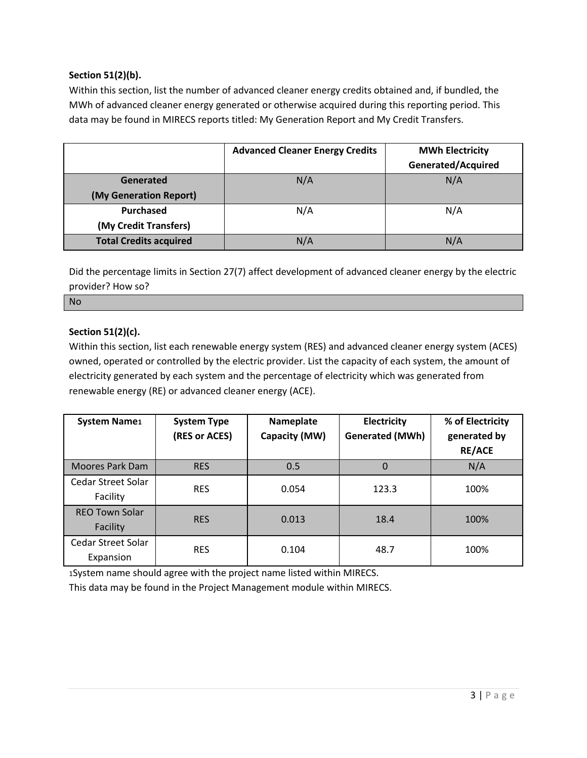### **Section 51(2)(b).**

Within this section, list the number of advanced cleaner energy credits obtained and, if bundled, the MWh of advanced cleaner energy generated or otherwise acquired during this reporting period. This data may be found in MIRECS reports titled: My Generation Report and My Credit Transfers.

|                               | <b>Advanced Cleaner Energy Credits</b> | <b>MWh Electricity</b><br>Generated/Acquired |
|-------------------------------|----------------------------------------|----------------------------------------------|
| Generated                     | N/A                                    | N/A                                          |
| (My Generation Report)        |                                        |                                              |
| Purchased                     | N/A                                    | N/A                                          |
| (My Credit Transfers)         |                                        |                                              |
| <b>Total Credits acquired</b> | N/A                                    | N/A                                          |

Did the percentage limits in Section 27(7) affect development of advanced cleaner energy by the electric provider? How so?

No

## **Section 51(2)(c).**

Within this section, list each renewable energy system (RES) and advanced cleaner energy system (ACES) owned, operated or controlled by the electric provider. List the capacity of each system, the amount of electricity generated by each system and the percentage of electricity which was generated from renewable energy (RE) or advanced cleaner energy (ACE).

| <b>System Name1</b>               | <b>System Type</b><br>(RES or ACES) | Nameplate<br>Capacity (MW) | Electricity<br><b>Generated (MWh)</b> | % of Electricity<br>generated by<br><b>RE/ACE</b> |
|-----------------------------------|-------------------------------------|----------------------------|---------------------------------------|---------------------------------------------------|
| Moores Park Dam                   | <b>RES</b>                          | 0.5                        | 0                                     | N/A                                               |
| Cedar Street Solar<br>Facility    | <b>RES</b>                          | 0.054                      | 123.3                                 | 100%                                              |
| <b>REO Town Solar</b><br>Facility | <b>RES</b>                          | 0.013                      | 18.4                                  | 100%                                              |
| Cedar Street Solar<br>Expansion   | <b>RES</b>                          | 0.104                      | 48.7                                  | 100%                                              |

1System name should agree with the project name listed within MIRECS.

This data may be found in the Project Management module within MIRECS.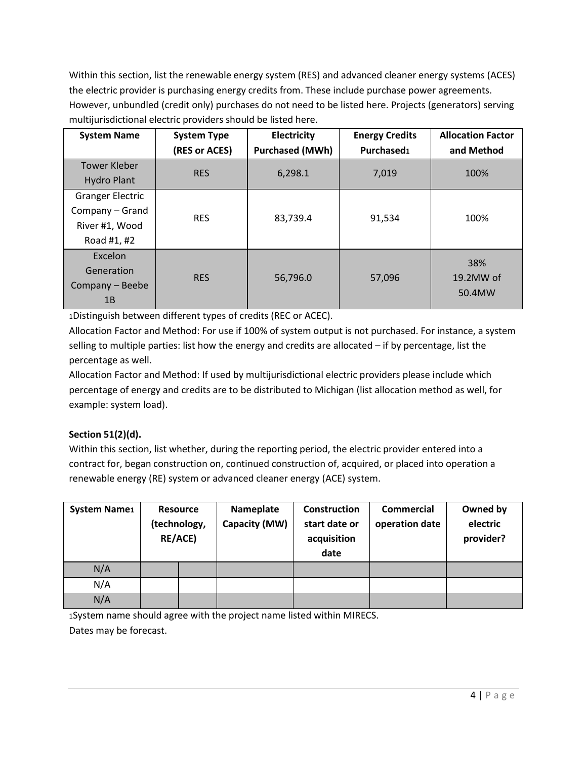Within this section, list the renewable energy system (RES) and advanced cleaner energy systems (ACES) the electric provider is purchasing energy credits from. These include purchase power agreements. However, unbundled (credit only) purchases do not need to be listed here. Projects (generators) serving multijurisdictional electric providers should be listed here.

| <b>System Name</b>                                                          | <b>System Type</b><br>(RES or ACES) | Electricity<br><b>Purchased (MWh)</b> | <b>Energy Credits</b><br>Purchased1 | <b>Allocation Factor</b><br>and Method |
|-----------------------------------------------------------------------------|-------------------------------------|---------------------------------------|-------------------------------------|----------------------------------------|
| <b>Tower Kleber</b><br><b>Hydro Plant</b>                                   | <b>RES</b>                          | 6,298.1                               | 7,019                               | 100%                                   |
| <b>Granger Electric</b><br>Company - Grand<br>River #1, Wood<br>Road #1, #2 | <b>RES</b>                          | 83,739.4                              | 91,534                              | 100%                                   |
| Excelon<br>Generation<br>Company - Beebe<br>1B                              | <b>RES</b>                          | 56,796.0                              | 57,096                              | 38%<br>19.2MW of<br>50.4MW             |

1Distinguish between different types of credits (REC or ACEC).

Allocation Factor and Method: For use if 100% of system output is not purchased. For instance, a system selling to multiple parties: list how the energy and credits are allocated – if by percentage, list the percentage as well.

Allocation Factor and Method: If used by multijurisdictional electric providers please include which percentage of energy and credits are to be distributed to Michigan (list allocation method as well, for example: system load).

# **Section 51(2)(d).**

Within this section, list whether, during the reporting period, the electric provider entered into a contract for, began construction on, continued construction of, acquired, or placed into operation a renewable energy (RE) system or advanced cleaner energy (ACE) system.

| <b>System Name1</b> | RE/ACE) | <b>Resource</b><br>(technology, | Nameplate<br>Capacity (MW) | Construction<br>start date or<br>acquisition<br>date | Commercial<br>operation date | Owned by<br>electric<br>provider? |
|---------------------|---------|---------------------------------|----------------------------|------------------------------------------------------|------------------------------|-----------------------------------|
| N/A                 |         |                                 |                            |                                                      |                              |                                   |
| N/A                 |         |                                 |                            |                                                      |                              |                                   |
| N/A                 |         |                                 |                            |                                                      |                              |                                   |

1System name should agree with the project name listed within MIRECS.

Dates may be forecast.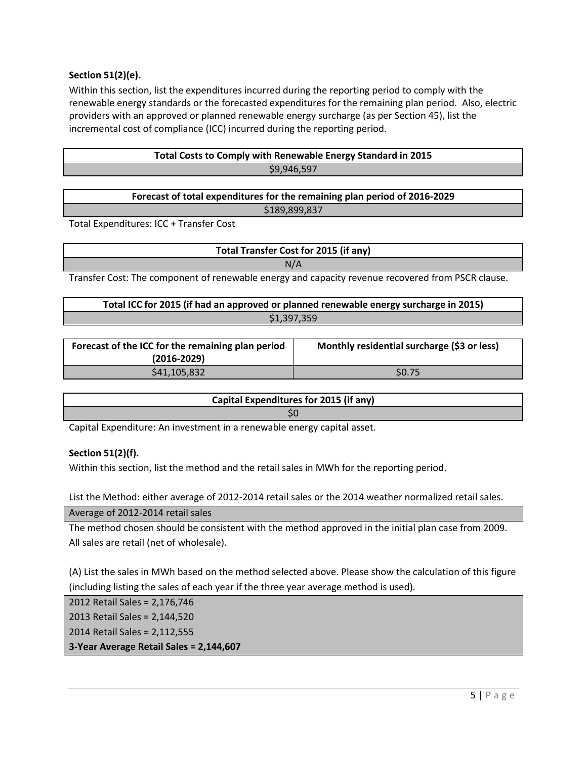### **Section 51(2)(e).**

Within this section, list the expenditures incurred during the reporting period to comply with the renewable energy standards or the forecasted expenditures for the remaining plan period. Also, electric providers with an approved or planned renewable energy surcharge (as per Section 45), list the incremental cost of compliance (ICC) incurred during the reporting period.

| Total Costs to Comply with Renewable Energy Standard in 2015 |
|--------------------------------------------------------------|
| \$9,946,597                                                  |

| Forecast of total expenditures for the remaining plan period of 2016-2029 |  |
|---------------------------------------------------------------------------|--|
| \$189,899,837                                                             |  |

Total Expenditures: ICC + Transfer Cost

**Total Transfer Cost for 2015 (if any)** N/A

Transfer Cost: The component of renewable energy and capacity revenue recovered from PSCR clause.

| Total ICC for 2015 (if had an approved or planned renewable energy surcharge in 2015) |
|---------------------------------------------------------------------------------------|
| \$1,397,359                                                                           |

| Forecast of the ICC for the remaining plan period<br>$(2016 - 2029)$ | Monthly residential surcharge (\$3 or less) |
|----------------------------------------------------------------------|---------------------------------------------|
| \$41,105,832                                                         | S <sub>0.75</sub>                           |

| Capital Expenditures for 2015 (if any) |
|----------------------------------------|
|                                        |

Capital Expenditure: An investment in a renewable energy capital asset.

#### **Section 51(2)(f).**

Within this section, list the method and the retail sales in MWh for the reporting period.

List the Method: either average of 2012-2014 retail sales or the 2014 weather normalized retail sales.

Average of 2012-2014 retail sales

The method chosen should be consistent with the method approved in the initial plan case from 2009. All sales are retail (net of wholesale).

(A) List the sales in MWh based on the method selected above. Please show the calculation of this figure (including listing the sales of each year if the three year average method is used).

2012 Retail Sales = 2,176,746 2013 Retail Sales = 2,144,520 2014 Retail Sales = 2,112,555 **3-Year Average Retail Sales = 2,144,607**